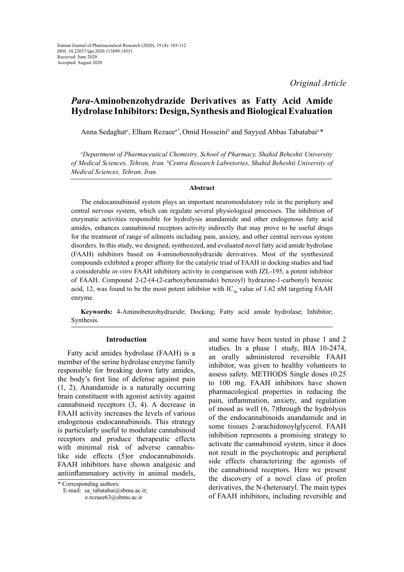*Original Article*

# *Para***-Aminobenzohydrazide Derivatives as Fatty Acid Amide Hydrolase Inhibitors: Design, Synthesis and Biological Evaluation**

Anna Sedaghat*<sup>a</sup>* , Elham Rezaee*a\**, Omid Hosseini*<sup>b</sup>* and Sayyed Abbas Tabatabai*<sup>a</sup> \**

*a Department of Pharmaceutical Chemistry, School of Pharmacy, Shahid Beheshti University of Medical Sciences, Tehran, Iran. b Centra Research Labretories, Shahid Beheshti University of Medical Sciences, Tehran, Iran.*

#### **Abstract**

The endocannabinoid system plays an important neuromodulatory role in the periphery and central nervous system, which can regulate several physiological processes. The inhibition of enzymatic activities responsible for hydrolysis anandamide and other endogenous fatty acid amides, enhances cannabinoid receptors activity indirectly that may prove to be useful drugs for the treatment of range of ailments including pain, anxiety, and other central nervous system disorders. In this study, we designed, synthesized, and evaluated novel fatty acid amide hydrolase (FAAH) inhibitors based on 4-aminobenzohydrazide derivatives. Most of the synthesized compounds exhibited a proper affinity for the catalytic triad of FAAH in docking studies and had a considerable *in-vitro* FAAH inhibitory activity in comparison with JZL-195, a potent inhibitor of FAAH. Compound 2-(2-(4-(2-carboxybenzamido) benzoyl) hydrazine-1-carbonyl) benzoic acid, 12, was found to be the most potent inhibitor with  $IC_{\rm so}$  value of 1.62 nM targeting FAAH enzyme.

**Keywords:** 4-Aminobenzohydrazide; Docking; Fatty acid amide hydrolase; Inhibitor; Synthesis.

#### **Introduction**

Fatty acid amides hydrolase (FAAH) is a member of the serine hydrolase enzyme family responsible for breaking down fatty amides, the body's first line of defense against pain (1, 2). Anandamide is a naturally occurring brain constituent with agonist activity against cannabinoid receptors (3, 4). A decrease in FAAH activity increases the levels of various endogenous endocannabinoids. This strategy is particularly useful to modulate cannabinoid receptors and produce therapeutic effects with minimal risk of adverse cannabislike side effects (5)or endocannabinoids. FAAH inhibitors have shown analgesic and antiinflammatory activity in animal models,

E-mail: sa\_tabatabai@sbmu.ac.ir;

e.rezaee63@sbmu.ac.ir

and some have been tested in phase 1 and 2 studies. In a phase 1 study, BIA 10-2474, an orally administered reversible FAAH inhibitor, was given to healthy volunteers to assess safety. METHODS Single doses (0.25 to 100 mg. FAAH inhibitors have shown pharmacological properties in reducing the pain, inflammation, anxiety, and regulation of mood as well (6, 7)through the hydrolysis of the endocannabinoids anandamide and in some tissues 2-arachidonoylglycerol. FAAH inhibition represents a promising strategy to activate the cannabinoid system, since it does not result in the psychotropic and peripheral side effects characterizing the agonists of the cannabinoid receptors. Here we present the discovery of a novel class of profen derivatives, the N-(heteroaryl. The main types of FAAH inhibitors, including reversible and

<sup>\*</sup> Corresponding authors: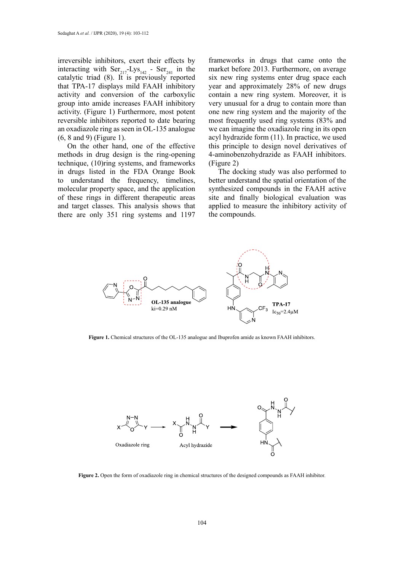irreversible inhibitors, exert their effects by interacting with  $\text{Ser}_{217}$ -Lys<sub>142</sub> - Ser<sub>241</sub> in the catalytic triad (8). It is previously reported that TPA-17 displays mild FAAH inhibitory activity and conversion of the carboxylic group into amide increases FAAH inhibitory activity. (Figure 1) Furthermore, most potent reversible inhibitors reported to date bearing an oxadiazole ring as seen in OL-135 analogue (6, 8 and 9) (Figure 1).

On the other hand, one of the effective methods in drug design is the ring-opening technique, (10)ring systems, and frameworks in drugs listed in the FDA Orange Book to understand the frequency, timelines, molecular property space, and the application of these rings in different therapeutic areas and target classes. This analysis shows that there are only 351 ring systems and 1197

frameworks in drugs that came onto the market before 2013. Furthermore, on average six new ring systems enter drug space each year and approximately 28% of new drugs contain a new ring system. Moreover, it is very unusual for a drug to contain more than one new ring system and the majority of the most frequently used ring systems (83% and we can imagine the oxadiazole ring in its open acyl hydrazide form (11). In practice, we used this principle to design novel derivatives of 4-aminobenzohydrazide as FAAH inhibitors. (Figure 2)

The docking study was also performed to better understand the spatial orientation of the synthesized compounds in the FAAH active site and finally biological evaluation was applied to measure the inhibitory activity of the compounds.



**Figure 1.** Chemical structures of the OL-135 analogue and Ibuprofen amide as known FAAH inhibitors. **Figure 1.** Chemical structures of the OL-135 analogue and Ibuprofen amide as known FAAH inhibitors.



**Figure 2.** Open the form of oxadiazole ring in chemical structures of the designed compounds as FAAH inhibitor.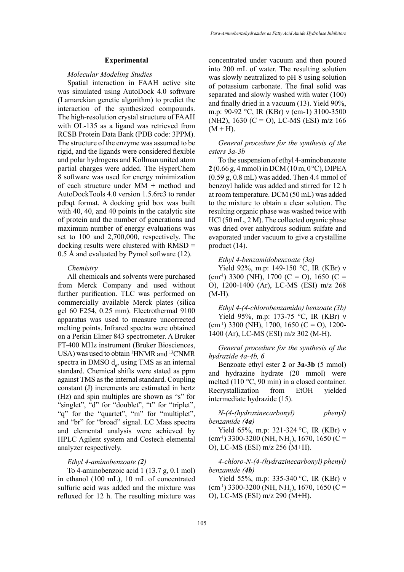#### **Experimental**

#### *Molecular Modeling Studies*

Spatial interaction in FAAH active site was simulated using AutoDock 4.0 software (Lamarckian genetic algorithm) to predict the interaction of the synthesized compounds. The high-resolution crystal structure of FAAH with OL-135 as a ligand was retrieved from RCSB Protein Data Bank (PDB code: 3PPM). The structure of the enzyme was assumed to be rigid, and the ligands were considered flexible and polar hydrogens and Kollman united atom partial charges were added. The HyperChem 8 software was used for energy minimization of each structure under MM + method and AutoDockTools 4.0 version 1.5.6rc3 to render pdbqt format. A docking grid box was built with 40, 40, and 40 points in the catalytic site of protein and the number of generations and maximum number of energy evaluations was set to 100 and 2,700,000, respectively. The docking results were clustered with RMSD = 0.5 Å and evaluated by Pymol software (12).

#### *Chemistry*

All chemicals and solvents were purchased from Merck Company and used without further purification. TLC was performed on commercially available Merck plates (silica gel 60 F254, 0.25 mm). Electrothermal 9100 apparatus was used to measure uncorrected melting points. Infrared spectra were obtained on a Perkin Elmer 843 spectrometer. A Bruker FT-400 MHz instrument (Bruker Biosciences, USA) was used to obtain <sup>1</sup>HNMR and <sup>13</sup>CNMR spectra in DMSO  $d_{\epsilon}$ , using TMS as an internal standard. Chemical shifts were stated as ppm against TMS as the internal standard. Coupling constant (J) increments are estimated in hertz (Hz) and spin multiples are shown as "s" for "singlet", "d" for "doublet", "t" for "triplet", "q" for the "quartet", "m" for "multiplet", and "br" for "broad" signal. LC Mass spectra and elemental analysis were achieved by HPLC Agilent system and Costech elemental analyzer respectively.

#### *Ethyl 4-aminobenzoate (2)*

To 4-aminobenzoic acid 1 (13.7 g, 0.1 mol) in ethanol (100 mL), 10 mL of concentrated sulfuric acid was added and the mixture was refluxed for 12 h. The resulting mixture was

concentrated under vacuum and then poured into 200 mL of water. The resulting solution was slowly neutralized to pH 8 using solution of potassium carbonate. The final solid was separated and slowly washed with water (100) and finally dried in a vacuum (13). Yield 90%, m.p: 90-92 °C, IR (KBr) ν (cm-1) 3100-3500 (NH2), 1630 (C = O), LC-MS (ESI) m/z 166  $(M + H)$ .

## *General procedure for the synthesis of the esters 3a-3b*

To the suspension of ethyl 4-aminobenzoate **2** (0.66 g, 4 mmol) in DCM (10 m, 0°C), DIPEA (0.59 g, 0.8 mL) was added. Then 4.4 mmol of benzoyl halide was added and stirred for 12 h at room temperature. DCM (50 mL) was added to the mixture to obtain a clear solution. The resulting organic phase was washed twice with HCl (50 mL, 2 M). The collected organic phase was dried over anhydrous sodium sulfate and evaporated under vacuum to give a crystalline product (14).

#### *Ethyl 4-benzamidobenzoate (3a)*

Yield 92%, m.p: 149-150 °C, IR (KBr) ν  $(cm<sup>-1</sup>)$  3300 (NH), 1700 (C = O), 1650 (C = O), 1200-1400 (Ar), LC-MS (ESI) m/z 268 (M-H).

*Ethyl 4-(4-chlorobenzamido) benzoate (3b)* Yield 95%, m.p: 173-75 °C, IR (KBr) ν  $(cm<sup>-1</sup>)$  3300 (NH), 1700, 1650 (C = O), 1200-1400 (Ar), LC-MS (ESI) m/z 302 (M-H).

*General procedure for the synthesis of the hydrazide 4a-4b, 6*

Benzoate ethyl ester **2** or **3a-3b** (5 mmol) and hydrazine hydrate (20 mmol) were melted (110 °C, 90 min) in a closed container. Recrystallization from EtOH yielded intermediate hydrazide (15).

*N-(4-(hydrazinecarbonyl) phenyl) benzamide (4a)*

Yield 65%, m.p: 321-324 °C, IR (KBr) ν  $\text{(cm}^{-1})$  3300-3200 (NH, NH<sub>2</sub>), 1670, 1650 (C = O), LC-MS (ESI) m/z 256 (M+H).

# *4-chloro-N-(4-(hydrazinecarbonyl) phenyl) benzamide (4b)*

Yield 55%, m.p: 335-340 °C, IR (KBr) ν  $\text{(cm}^{-1})$  3300-3200 (NH, NH<sub>2</sub>), 1670, 1650 (C = O), LC-MS (ESI) m/z 290 (M+H).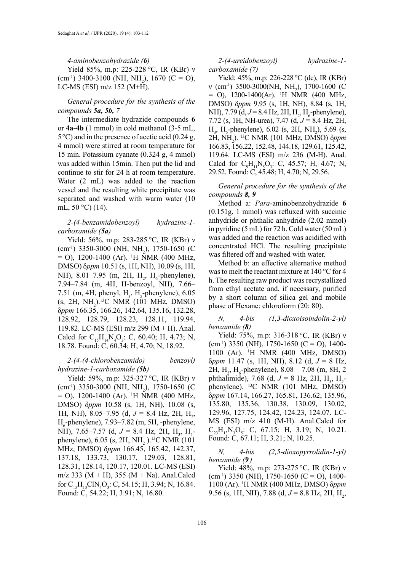#### *4-aminobenzohydrazide (6)*

Yield 85%, m.p: 225-228 °C, IR (KBr) ν  $\text{(cm}^{-1})$  3400-3100 (NH, NH<sub>2</sub>), 1670 (C = O), LC-MS (ESI) m/z 152 (M+H).

# *General procedure for the synthesis of the compounds 5a, 5b, 7*

The intermediate hydrazide compounds **6** or **4a-4b** (1 mmol) in cold methanol (3-5 mL,  $5^{\circ}$ C) and in the presence of acetic acid (0.24 g, 4 mmol) were stirred at room temperature for 15 min. Potassium cyanate (0.324 g, 4 mmol) was added within 15min. Then put the lid and continue to stir for 24 h at room temperature. Water (2 mL) was added to the reaction vessel and the resulting white precipitate was separated and washed with warm water (10 mL, 50 °C) (14).

### *2-(4-benzamidobenzoyl) hydrazine-1 carboxamide (5a)*

Yield: 56%, m.p: 283-285 °C, IR (KBr) ν  $\text{(cm}^{-1})$  3350-3000 (NH, NH<sub>2</sub>), 1750-1650 (C) = O), 1200-1400 (Ar). 1 H NMR (400 MHz, DMSO) δ*ppm* 10.51 (s, 1H, NH), 10.09 (s, 1H, NH), 8.01–7.95 (m, 2H,  $H_2$ ,  $H_6$ -phenylene), 7.94–7.84 (m, 4H, H-benzoyl, NH), 7.66– 7.51 (m, 4H, phenyl,  $H_3$ ,  $H_5$ -phenylene), 6.05  $(s, 2H, NH<sub>2</sub>)<sup>13</sup>C NMR (101 MHz, DMSO)$ δ*ppm* 166.35, 166.26, 142.64, 135.16, 132.28, 128.92, 128.79, 128.23, 128.11, 119.94, 119.82. LC-MS (ESI) m/z 299 (M + H). Anal. Calcd for  $C_{15}H_{14}N_4O_3$ : C, 60.40; H, 4.73; N, 18.78. Found: C, 60.34; H, 4.70; N, 18.92.

## *2-(4-(4-chlorobenzamido) benzoyl) hydrazine-1-carboxamide (5b)*

Yield: 59%, m.p: 325-327 °C, IR (KBr) ν  $\text{(cm}^{-1})$  3350-3000 (NH, NH<sub>2</sub>), 1750-1650 (C) = O), 1200-1400 (Ar). 1 H NMR (400 MHz, DMSO) δ*ppm* 10.58 (s, 1H, NH), 10.08 (s, 1H, NH), 8.05–7.95 (d,  $J = 8.4$  Hz, 2H, H<sub>2</sub>,  $H<sub>6</sub>$ -phenylene), 7.93–7.82 (m, 5H, -phenylene, NH), 7.65–7.57 (d,  $J = 8.4$  Hz, 2H, H<sub>3</sub>, H<sub>5</sub>phenylene),  $6.05$  (s,  $2H$ ,  $NH<sub>2</sub>$ ).<sup>13</sup>C NMR (101) MHz, DMSO) δ*ppm* 166.45, 165.42, 142.37, 137.18, 133.73, 130.17, 129.03, 128.81, 128.31, 128.14, 120.17, 120.01. LC-MS (ESI) m/z 333 (M + H), 355 (M + Na). Anal.Calcd for  $C_{15}H_{13}CIN_4O_3$ : C, 54.15; H, 3.94; N, 16.84. Found: C, 54.22; H, 3.91; N, 16.80.

*2-(4-ureidobenzoyl) hydrazine-1 carboxamide (7)*

Yield: 45%, m.p: 226-228 °C (dc), IR (KBr)  $v$  (cm<sup>-1</sup>) 3500-3000(NH, NH<sub>2</sub>), 1700-1600 (C)  $=$  O), 1200-1400(Ar). <sup>1</sup>H NMR (400 MHz, DMSO) δ*ppm* 9.95 (s, 1H, NH), 8.84 (s, 1H, NH), 7.79 (d,  $J = 8.4$  Hz, 2H, H<sub>2</sub>, H<sub>6</sub>-phenylene), 7.72 (s, 1H, NH-urea), 7.47 (d, *J* = 8.4 Hz, 2H,  $H_3$ ,  $H_5$ -phenylene), 6.02 (s, 2H, NH<sub>2</sub>), 5.69 (s, 2H, NH2 ). 13C NMR (101 MHz, DMSO) δ*ppm* 166.83, 156.22, 152.48, 144.18, 129.61, 125.42, 119.64. LC-MS (ESI) m/z 236 (M-H). Anal. Calcd for  $C_9H_{11}N_5O_3$ : C, 45.57; H, 4.67; N, 29.52. Found: C, 45.48; H, 4.70; N, 29.56.

*General procedure for the synthesis of the compounds 8, 9*

Method a: *Para*-aminobenzohydrazide **6** (0.151g, 1 mmol) was refluxed with succinic anhydride or phthalic anhydride (2.02 mmol) in pyridine (5 mL) for 72 h. Cold water (50 mL) was added and the reaction was acidified with concentrated HCl. The resulting precipitate was filtered off and washed with water.

Method b: an effective alternative method was to melt the reactant mixture at 140 °C for 4 h. The resulting raw product was recrystallized from ethyl acetate and, if necessary, purified by a short column of silica gel and mobile phase of Hexane: chloroform (20: 80).

*N, 4-bis (1,3-dioxoisoindolin-2-yl) benzamide (8)*

Yield: 75%, m.p: 316-318 °C, IR (KBr) ν  $(cm<sup>-1</sup>)$  3350 (NH), 1750-1650 (C = O), 1400-1100 (Ar). 1 H NMR (400 MHz, DMSO) δ*ppm* 11.47 (s, 1H, NH), 8.12 (d, *J* = 8 Hz, 2H,  $H_2$ ,  $H_6$ -phenylene), 8.08 – 7.08 (m, 8H, 2 phthalimide), 7.68 (d,  $J = 8$  Hz, 2H, H<sub>3</sub>, H<sub>5</sub>phenylene). 13C NMR (101 MHz, DMSO) δ*ppm* 167.14, 166.27, 165.81, 136.62, 135.96, 135.80, 135.36, 130.38, 130.09, 130.02, 129.96, 127.75, 124.42, 124.23, 124.07. LC-MS (ESI) m/z 410 (M-H). Anal.Calcd for  $C_{23}H_{13}N_3O_5$ : C, 67.15; H, 3.19; N, 10.21. Found: C, 67.11; H, 3.21; N, 10.25.

## *N, 4-bis (2,5-dioxopyrrolidin-1-yl) benzamide (9 )*

Yield: 48%, m.p: 273-275 °C, IR (KBr) ν  $(cm<sup>-1</sup>)$  3350 (NH), 1750-1650 (C = O), 1400-1100 (Ar). 1 H NMR (400 MHz, DMSO) δ*ppm*  9.56 (s, 1H, NH), 7.88 (d,  $J = 8.8$  Hz, 2H, H<sub>2</sub>,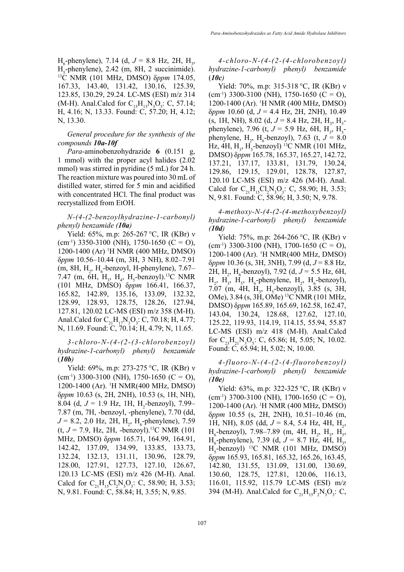$H_6$ -phenylene), 7.14 (d,  $J = 8.8$  Hz, 2H, H<sub>3</sub>, H<sub>5</sub>-phenylene), 2.42 (m, 8H, 2 succinimide).<br><sup>13</sup>C NMR (101 MHz, DMSO) δ*ppm* 174.05, 167.33, 143.40, 131.42, 130.16, 125.39, 123.85, 130.29, 29.24. LC-MS (ESI) m/z 314 (M-H). Anal.Calcd for  $C_{15}H_{13}N_3O_5$ : C, 57.14; H, 4.16; N, 13.33. Found: C, 57.20; H, 4.12; N, 13.30.

### *General procedure for the synthesis of the compounds 10a-10f*

*Para*-aminobenzohydrazide **6** (0.151 g, 1 mmol) with the proper acyl halides (2.02 mmol) was stirred in pyridine (5 mL) for 24 h. The reaction mixture was poured into 30 mL of distilled water, stirred for 5 min and acidified with concentrated HCl. The final product was recrystallized from EtOH.

*N-(4-(2-benzoylhydrazine-1-carbonyl) phenyl) benzamide (10a)*

Yield: 65%, m.p: 265-267 °C, IR (KBr) ν  $(cm<sup>-1</sup>)$  3350-3100 (NH), 1750-1650 (C = O), 1200-1400 (Ar) 1 H NMR (400 MHz, DMSO) δ*ppm* 10.56–10.44 (m, 3H, 3 NH), 8.02–7.91 (m, 8H,  $H_2$ ,  $H_6$ -benzoyl, H-phenylene), 7.67– 7.47 (m, 6H,  $H_3$ ,  $H_4$ ,  $H_5$ -benzoyl).<sup>13</sup>C NMR (101 MHz, DMSO) δ*ppm* 166.41, 166.37, 165.82, 142.89, 135.16, 133.09, 132.32, 128.99, 128.93, 128.75, 128.26, 127.94, 127.81, 120.02 LC-MS (ESI) m/z 358 (M-H). Anal.Calcd for  $C_{21}H_{17}N_3O_3$ : C, 70.18; H, 4.77; N, 11.69. Found: C, 70.14; H, 4.79; N, 11.65.

# *3-chloro-N-(4-(2-(3-chlorobenzoyl) hydrazine-1-carbonyl) phenyl) benzamide*  (*10b)*

Yield: 69%, m.p: 273-275 °C, IR (KBr) ν  $\text{(cm}^{-1})$  3300-3100 (NH), 1750-1650 (C = O), 1200-1400 (Ar). 1 H NMR(400 MHz, DMSO) δ*ppm* 10.63 (s, 2H, 2NH), 10.53 (s, 1H, NH), 8.04 (d,  $J = 1.9$  Hz, 1H, H<sub>2</sub>-benzoyl), 7.99– 7.87 (m, 7H, -benzoyl, -phenylene), 7.70 (dd,  $J = 8.2, 2.0$  Hz, 2H, H<sub>2</sub>, H<sub>6</sub>-phenylene), 7.59  $(t, J = 7.9, Hz, 2H, -benzovl).$ <sup>13</sup>C NMR (101) MHz, DMSO) δ*ppm* 165.71, 164.99, 164.91, 142.42, 137.09, 134.99, 133.85, 133.73, 132.24, 132.13, 131.11, 130.96, 128.79, 128.00, 127.91, 127.73, 127.10, 126.67, 120.13 LC-MS (ESI) m/z 426 (M-H). Anal. Calcd for  $C_{21}H_{15}Cl_2N_3O_3$ : C, 58.90; H, 3.53; N, 9.81. Found: C, 58.84; H, 3.55; N, 9.85.

*4-chloro-N-(4-(2-(4-chlorobenzoyl) hydrazine-1-carbonyl) phenyl) benzamide*   $(10c)$ 

Yield: 70%, m.p: 315-318 °C, IR (KBr) ν  $(cm<sup>-1</sup>)$  3300-3100 (NH), 1750-1650 (C = O), 1200-1400 (Ar). 1 H NMR (400 MHz, DMSO) δ*ppm* 10.60 (d, *J* = 4.4 Hz, 2H, 2NH), 10.49  $(s, 1H, NH)$ , 8.02 (d,  $J = 8.4$  Hz, 2H, H<sub>3</sub>, H<sub>5</sub>phenylene), 7.96 (t,  $J = 5.9$  Hz, 6H, H<sub>3</sub>, H<sub>5</sub>phenylene,  $H_2$ ,  $H_6$ -benzoyl), 7.63 (t,  $J = 8.0$ Hz, 4H,  $H_3$ , H<sub>s</sub>-benzoyl) <sup>13</sup>C NMR (101 MHz, DMSO) δ*ppm* 165.78, 165.37, 165.27, 142.72, 137.21, 137.17, 133.81, 131.79, 130.24, 129.86, 129.15, 129.01, 128.78, 127.87, 120.10 LC-MS (ESI) m/z 426 (M-H). Anal. Calcd for  $C_{21}H_{15}Cl_2N_3O_3$ : C, 58.90; H, 3.53; N, 9.81. Found: C, 58.96; H, 3.50; N, 9.78.

*4-methoxy-N-(4-(2-(4-methoxybenzoyl) hydrazine-1-carbonyl) phenyl) benzamide (10d)*

Yield: 75%, m.p: 264-266 °C, IR (KBr) ν  $(cm<sup>-1</sup>)$  3300-3100 (NH), 1700-1650 (C = O), 1200-1400 (Ar). 1 H NMR(400 MHz, DMSO) δ*ppm* 10.36 (s, 3H, 3NH), 7.99 (d, *J* = 8.8 Hz, 2H, H<sub>2</sub>, H<sub>6</sub>-benzoyl), 7.92 (d, J = 5.5 Hz, 6H,  $H_2$ ,  $H_3$ ,  $H_5$ ,  $H_6$ -phenylene,  $H_2$ ,  $H_6$ -benzoyl), 7.07 (m, 4H,  $H_3$ ,  $H_5$ -benzoyl), 3.85 (s, 3H, OMe), 3.84 (s, 3H, OMe) 13C NMR (101 MHz, DMSO) δ*ppm* 165.89, 165.69, 162.58, 162.47, 143.04, 130.24, 128.68, 127.62, 127.10, 125.22, 119.93, 114.19, 114.15, 55.94, 55.87 LC-MS (ESI) m/z 418 (M-H). Anal.Calcd for  $C_{23}H_{21}N_3O_5$ : C, 65.86; H, 5.05; N, 10.02. Found: C, 65.94; H, 5.02; N, 10.00.

*4-fluoro-N-(4-(2-(4-fluorobenzoyl) hydrazine-1-carbonyl) phenyl) benzamide (10e)*

Yield: 63%, m.p: 322-325 °C, IR (KBr) ν  $(cm<sup>-1</sup>)$  3700-3100 (NH), 1700-1650 (C = O), 1200-1400 (Ar). 1 H NMR (400 MHz, DMSO) δ*ppm* 10.55 (s, 2H, 2NH), 10.51–10.46 (m, 1H, NH), 8.05 (dd,  $J = 8.4$ , 5.4 Hz, 4H, H<sub>2</sub>,  $H_6$ -benzoyl), 7.98–7.89 (m, 4H,  $H_2$ ,  $H_3$ ,  $H_5$ ,  $H_6$ -phenylene), 7.39 (d,  $J = 8.7$  Hz, 4H,  $H_3$ ,  $H<sub>5</sub>$ -benzoyl) <sup>13</sup>C NMR (101 MHz, DMSO) δ*ppm* 165.93, 165.81, 165.32, 165.26, 163.45, 142.80, 131.55, 131.09, 131.00, 130.69, 130.60, 128.75, 127.81, 120.06, 116.13, 116.01, 115.92, 115.79 LC-MS (ESI) m/z 394 (M-H). Anal.Calcd for  $C_{21}H_{15}F_2N_3O_3$ : C,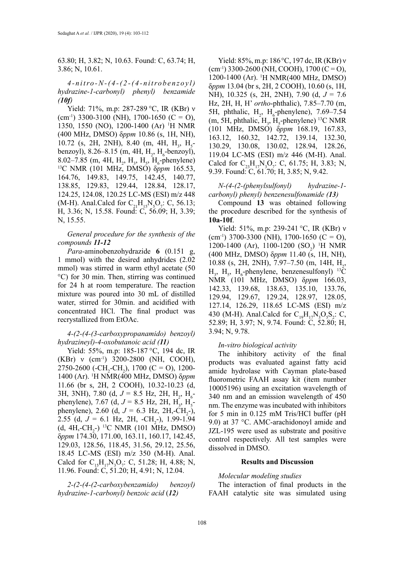63.80; H, 3.82; N, 10.63. Found: C, 63.74; H, 3.86; N, 10.61.

## *4 - n i t ro - N - ( 4 - ( 2 - ( 4 - n i t ro b e n z o y l ) hydrazine-1-carbonyl) phenyl) benzamide (10f)*

Yield: 71%, m.p: 287-289 °C, IR (KBr) ν  $(cm<sup>-1</sup>) 3300-3100 (NH), 1700-1650 (C = O),$ 1350, 1550 (NO), 1200-1400 (Ar) 1 H NMR (400 MHz, DMSO) δ*ppm* 10.86 (s, 1H, NH),  $10.72$  (s, 2H, 2NH), 8.40 (m, 4H, H<sub>3</sub>, H<sub>5</sub>benzoyl), 8.26–8.15 (m, 4H,  $H_2$ ,  $H_6$ -benzoyl), 8.02–7.85 (m, 4H, H<sub>2</sub>, H<sub>3</sub>, H<sub>5</sub>, H<sub>6</sub> <sup>13</sup>C NMR (101 MHz, DMSO) δ*ppm* 165.53, 164.76, 149.83, 149.75, 142.45, 140.77, 138.85, 129.83, 129.44, 128.84, 128.17, 124.25, 124.08, 120.25 LC-MS (ESI) m/z 448 (M-H). Anal.Calcd for  $C_{21}H_{15}N_5O_7$ : C, 56.13; H, 3.36; N, 15.58. Found: C, 56.09; H, 3.39; N, 15.55.

## *General procedure for the synthesis of the compounds 11-12*

*Para*-aminobenzohydrazide **6** (0.151 g, 1 mmol) with the desired anhydrides (2.02 mmol) was stirred in warm ethyl acetate (50 °C) for 30 min. Then, stirring was continued for 24 h at room temperature. The reaction mixture was poured into 30 mL of distilled water, stirred for 30min. and acidified with concentrated HCl. The final product was recrystallized from EtOAc.

### *4-(2-(4-(3-carboxypropanamido) benzoyl) hydrazineyl)-4-oxobutanoic acid (11)*

Yield: 55%, m.p: 185-187 °C, 194 dc, IR  $(KBr)$  v (cm<sup>-1</sup>) 3200-2800 (NH, COOH), 2750-2600 (-CH<sub>2</sub>-CH<sub>2</sub>), 1700 (C = O), 1200-1400 (Ar). 1 H NMR(400 MHz, DMSO) δ*ppm*  11.66 (br s, 2H, 2 COOH), 10.32-10.23 (d, 3H, 3NH), 7.80 (d,  $J = 8.5$  Hz, 2H, H<sub>2</sub>, H<sub>6</sub>phenylene), 7.67 (d,  $J = 8.5$  Hz, 2H, H<sub>3</sub>, H<sub>5</sub>phenylene), 2.60 (d,  $J = 6.3$  Hz, 2H,-CH<sub>2</sub>-), 2.55 (d,  $J = 6.1$  Hz, 2H,  $-CH_2$ -), 1.99-1.94  $(d, 4H, -CH<sub>2</sub>-)$  <sup>13</sup>C NMR (101 MHz, DMSO) δ*ppm* 174.30, 171.00, 163.11, 160.17, 142.45, 129.03, 128.56, 118.45, 31.56, 29.12, 25.56, 18.45 LC-MS (ESI) m/z 350 (M-H). Anal. Calcd for  $C_{15}H_{17}N_3O_7$ : C, 51.28; H, 4.88; N, 11.96. Found: C, 51.20; H, 4.91; N, 12.04.

*2-(2-(4-(2-carboxybenzamido) benzoyl) hydrazine-1-carbonyl) benzoic acid* (*12)*

Yield: 85%, m.p: 186 °C, 197 dc, IR (KBr) ν  $(cm<sup>-1</sup>) 3300-2600 (NH, COOH), 1700 (C = O),$ 1200-1400 (Ar). 1 H NMR(400 MHz, DMSO) δ*ppm* 13.04 (br s, 2H, 2 COOH), 10.60 (s, 1H, NH), 10.325 (s, 2H, 2NH), 7.90 (d, *J* = 7.6 Hz, 2H, H, H' *ortho*-phthalic), 7.85–7.70 (m, 5H, phthalic,  $H_2$ ,  $H_6$ -phenylene), 7.69–7.54 (m, 5H, phthalic,  $H_3$ ,  $H_5$ -phenylene) <sup>13</sup>C NMR (101 MHz, DMSO) δ*ppm* 168.19, 167.83, 163.12, 160.32, 142.72, 139.14, 132.30, 130.29, 130.08, 130.02, 128.94, 128.26, 119.04 LC-MS (ESI) m/z 446 (M-H). Anal. Calcd for  $C_{23}H_{17}N_3O_7$ : C, 61.75; H, 3.83; N, 9.39. Found: C, 61.70; H, 3.85; N, 9.42.

### *N-(4-(2-(phenylsulfonyl) hydrazine-1 carbonyl) phenyl) benzenesulfonamide (13)*

Compound **13** was obtained following the procedure described for the synthesis of **10a-10f**.

Yield: 51%, m.p: 239-241 °C, IR (KBr) ν  $(cm^{-1})$  3700-3300 (NH), 1700-1650 (C = O), 1200-1400 (Ar), 1100-1200 (SO<sub>2</sub>) <sup>1</sup>H NMR (400 MHz, DMSO) δ*ppm* 11.40 (s, 1H, NH), 10.88 (s, 2H, 2NH), 7.97–7.50 (m, 14H, H<sub>2</sub>,  $H_3$ ,  $H_5$ ,  $H_6$ -phenylene, benzenesulfonyl) <sup>13</sup>C NMR (101 MHz, DMSO) δ*ppm* 166.03, 142.33, 139.68, 138.63, 135.10, 133.76, 129.94, 129.67, 129.24, 128.97, 128.05, 127.14, 126.29, 118.65 LC-MS (ESI) m/z 430 (M-H). Anal.Calcd for  $C_{19}H_{17}N_3O_5S_2$ : C, 52.89; H, 3.97; N, 9.74. Found: C, 52.80; H, 3.94; N, 9.78.

## *In-vitro biological activity*

The inhibitory activity of the final products was evaluated against fatty acid amide hydrolase with Cayman plate-based fluorometric FAAH assay kit (item number 10005196) using an excitation wavelength of 340 nm and an emission wavelength of 450 nm. The enzyme was incubated with inhibitors for 5 min in 0.125 mM Tris/HCl buffer (pH 9.0) at 37 °C. AMC-arachidonoyl amide and JZL-195 were used as substrate and positive control respectively. All test samples were dissolved in DMSO.

#### **Results and Discussion**

#### *Molecular modeling studies*

The interaction of final products in the FAAH catalytic site was simulated using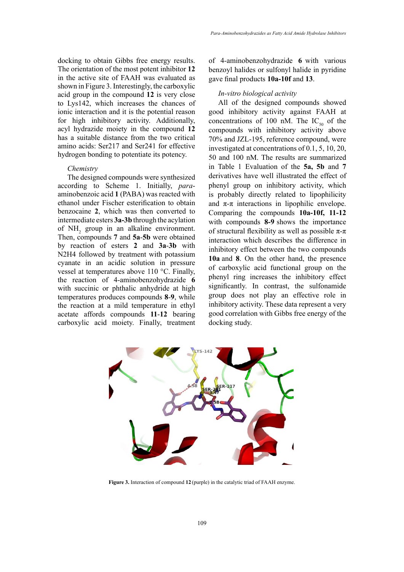docking to obtain Gibbs free energy results. The orientation of the most potent inhibitor **12** in the active site of FAAH was evaluated as shown in Figure 3. Interestingly, the carboxylic acid group in the compound **12** is very close to Lys142, which increases the chances of ionic interaction and it is the potential reason for high inhibitory activity. Additionally, acyl hydrazide moiety in the compound **12**  has a suitable distance from the two critical amino acids: Ser217 and Ser241 for effective hydrogen bonding to potentiate its potency.

#### *Chemistry*

The designed compounds were synthesized according to Scheme 1. Initially, *para*aminobenzoic acid **1** (PABA) was reacted with ethanol under Fischer esterification to obtain benzocaine **2**, which was then converted to intermediate esters **3a-3b** through the acylation of  $NH_2$  group in an alkaline environment. Then, compounds **7** and **5a**-**5b** were obtained by reaction of esters **2** and **3a**-**3b** with N2H4 followed by treatment with potassium cyanate in an acidic solution in pressure vessel at temperatures above 110 °C. Finally, the reaction of 4-aminobenzohydrazide **6** with succinic or phthalic anhydride at high temperatures produces compounds **8**-**9**, while the reaction at a mild temperature in ethyl acetate affords compounds **11**-**12** bearing carboxylic acid moiety. Finally, treatment

of 4-aminobenzohydrazide **6** with various benzoyl halides or sulfonyl halide in pyridine gave final products **10a-10f** and **13**.

### *In-vitro biological activity*

All of the designed compounds showed good inhibitory activity against FAAH at concentrations of 100 nM. The  $IC_{50}$  of the compounds with inhibitory activity above 70% and JZL-195, reference compound, were investigated at concentrations of 0.1, 5, 10, 20, 50 and 100 nM. The results are summarized in Table 1 Evaluation of the **5a, 5b** and **7** derivatives have well illustrated the effect of phenyl group on inhibitory activity, which is probably directly related to lipophilicity and  $\pi$ - $\pi$  interactions in lipophilic envelope. Comparing the compounds **10a-10f, 11-12** with compounds **8-9** shows the importance of structural flexibility as well as possible  $\pi$ - $\pi$ interaction which describes the difference in inhibitory effect between the two compounds **10a** and **8**. On the other hand, the presence of carboxylic acid functional group on the phenyl ring increases the inhibitory effect significantly. In contrast, the sulfonamide group does not play an effective role in inhibitory activity. These data represent a very good correlation with Gibbs free energy of the docking study.



**Figure 3.** Interaction of compound **12** (purple) in the catalytic triad of FAAH enzyme.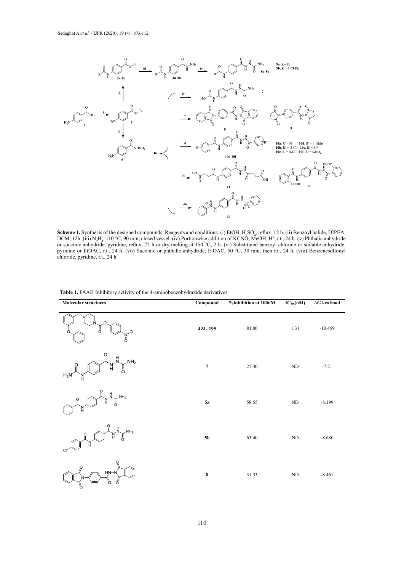

**Scheme 1.** Synthesis of the designed compounds. Reagents and conditions: (i) EtOH, H2SO4, reflux, 12 h. (ii) Benzoyl halide, DIPEA, DCM, 12h. **THE LANDER OF THE UNITED STATES AND THE SECONDATION** OF  $\frac{1}{1000}$ ,  $\frac{1}{1000}$ ,  $\frac{1}{1000}$ ,  $\frac{1}{1000}$ ,  $\frac{1}{1000}$ ,  $\frac{1}{1000}$ ,  $\frac{1}{1000}$ ,  $\frac{1}{1000}$ ,  $\frac{1}{1000}$ ,  $\frac{1}{1000}$ ,  $\frac{1}{1000}$ ,  $\frac{1}{1000$ pyridine, reflux, reflux, reflux, 72 h or dry melting at 150 °C, 2 h. (vi) Substituted benzol chloride or suitable anhydride Successive and y philosophies,  $\frac{1}{2}$  h. (viii) Benzening or phthalic anhydride,  $\frac{1}{2}$  for  $\frac{1}{2}$  for  $\frac{2}{2}$  min, then r.t., 24 h. Scheme 1. Synthesis of the designed compounds. Reagents and conditions: (i) EtOH, H<sub>2</sub>SO<sub>4</sub>, reflux, 12 h. (ii) Benzoyl halide, DIPEA, DCM, 12h. (iii)  $N_2H_a$ , 110 °C, 90 min, closed vessel. (iv) Portionwise addition of KCNO, MeOH, H<sup>+</sup>, r.t., 24 h. (v) Phthalic anhydride or succinic anhydride, pyridine, reflux, 72 h or dry melting at 150 °C, 2 h. (vi) Substituted benzoyl chloride or suitable anhydride, pyridine or EtOAC, r.t., 24 h. (vii) Succinic or phthalic anhydride, EtOAC, 50 °C, 30 min, then r.t., 24 h. (viii) Benzenesulfonyl chloride, pyridine, r.t., 24 h.

| <b>Molecular structures</b>                                                                                                                                                                                                                                                                                                                                                        | Compound       | %inhibition at 100nM | $IC_{50}$ (nM) | $\Delta G$ kcal/mol |
|------------------------------------------------------------------------------------------------------------------------------------------------------------------------------------------------------------------------------------------------------------------------------------------------------------------------------------------------------------------------------------|----------------|----------------------|----------------|---------------------|
| $\overset{\cdot N^+}{\underset{O}{\overset{\cdot N^-}{\circ}}}$                                                                                                                                                                                                                                                                                                                    | <b>JZL-195</b> | 81.00                | 1.31           | $-10.459$           |
| $\begin{picture}(180,10) \put(0,0){\line(1,0){155}} \put(15,0){\line(1,0){155}} \put(15,0){\line(1,0){155}} \put(15,0){\line(1,0){155}} \put(15,0){\line(1,0){155}} \put(15,0){\line(1,0){155}} \put(15,0){\line(1,0){155}} \put(15,0){\line(1,0){155}} \put(15,0){\line(1,0){155}} \put(15,0){\line(1,0){155}} \put(15,0){\line(1,0){155}}$<br>$H_2N$                             | 7              | 27.30                | ND             | $-7.21$             |
| $\begin{pmatrix} 0 & H \\ H & 0 \end{pmatrix}$ <sup>NH<sub>2</sub></sup><br>$\int_{\mathbb{R}}$                                                                                                                                                                                                                                                                                    | 5a             | 58.55                | $\rm ND$       | $-8.199$            |
| $M_{N}^{0}M_{N}^{1}M_{N}^{1}$<br>$\begin{picture}(180,170) \put(0,0){\line(1,0){150}} \put(15,0){\line(1,0){150}} \put(15,0){\line(1,0){150}} \put(15,0){\line(1,0){150}} \put(15,0){\line(1,0){150}} \put(15,0){\line(1,0){150}} \put(15,0){\line(1,0){150}} \put(15,0){\line(1,0){150}} \put(15,0){\line(1,0){150}} \put(15,0){\line(1,0){150}} \put(15,0){\line(1,0){150$<br>C1 | <b>5b</b>      | 63.40                | $\rm ND$       | $-8.680$            |
| $\begin{picture}(120,115) \put(0,0){\line(1,0){155}} \put(15,0){\line(1,0){155}} \put(15,0){\line(1,0){155}} \put(15,0){\line(1,0){155}} \put(15,0){\line(1,0){155}} \put(15,0){\line(1,0){155}} \put(15,0){\line(1,0){155}} \put(15,0){\line(1,0){155}} \put(15,0){\line(1,0){155}} \put(15,0){\line(1,0){155}} \put(15,0){\line(1,0){155$<br>ď                                   | $\bf 8$        | 31.33                | ND             | $-8.461$            |

**Table 1.** FAAH Inhibitory activity of the 4-aminobenzohydrazide derivatives. **Table 1.** FAAH Inhibitory activity of the 4-aminobenzohydrazide derivatives.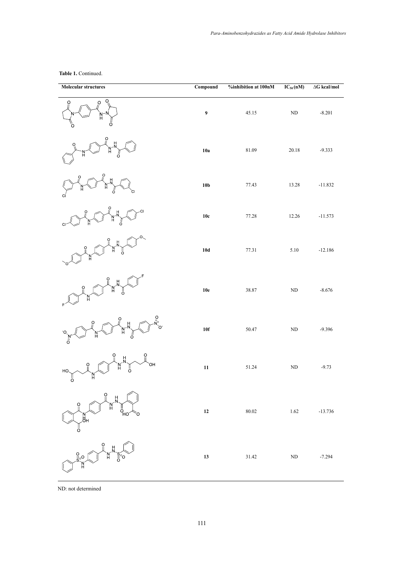**Table 1.** Continued.

| <b>Molecular structures</b>                                                                                                                                                                                                                                                                                                                                                                                                                                                                                                                                                                                                                                                                                                        | Compound        | $%$ inhibition at 100nM | $IC_{50}$ (nM) | $\Delta {\bf G}$ kcal/mol |
|------------------------------------------------------------------------------------------------------------------------------------------------------------------------------------------------------------------------------------------------------------------------------------------------------------------------------------------------------------------------------------------------------------------------------------------------------------------------------------------------------------------------------------------------------------------------------------------------------------------------------------------------------------------------------------------------------------------------------------|-----------------|-------------------------|----------------|---------------------------|
| O,<br>O<br>`N−N<br>H<br>Ő                                                                                                                                                                                                                                                                                                                                                                                                                                                                                                                                                                                                                                                                                                          | 9               | 45.15                   | $\rm ND$       | $-8.201$                  |
| н<br>Ő                                                                                                                                                                                                                                                                                                                                                                                                                                                                                                                                                                                                                                                                                                                             | 10a             | 81.09                   | 20.18          | $-9.333$                  |
|                                                                                                                                                                                                                                                                                                                                                                                                                                                                                                                                                                                                                                                                                                                                    | 10 <sub>b</sub> | 77.43                   | 13.28          | $-11.832$                 |
| O                                                                                                                                                                                                                                                                                                                                                                                                                                                                                                                                                                                                                                                                                                                                  | $10c$           | 77.28                   | 12.26          | $-11.573$                 |
|                                                                                                                                                                                                                                                                                                                                                                                                                                                                                                                                                                                                                                                                                                                                    | $10d$           | 77.31                   | 5.10           | $-12.186$                 |
| ö                                                                                                                                                                                                                                                                                                                                                                                                                                                                                                                                                                                                                                                                                                                                  | $10e$           | 38.87                   | $\rm ND$       | $-8.676$                  |
| O.<br>$\frac{N}{O}$                                                                                                                                                                                                                                                                                                                                                                                                                                                                                                                                                                                                                                                                                                                | 10f             | 50.47                   | $\rm ND$       | $-9.396$                  |
| $\mathbf{H}_{\mathbf{N}}^{\mathbf{N}}$<br>OH<br>$\frac{0}{\mathbb{I}}$<br>J<br>HO.<br>N<br>H<br>ő                                                                                                                                                                                                                                                                                                                                                                                                                                                                                                                                                                                                                                  | ${\bf 11}$      | 51.24                   | $\rm ND$       | $-9.73$                   |
| $\begin{picture}(130,10) \put(0,0){\line(1,0){155}} \put(15,0){\line(1,0){155}} \put(15,0){\line(1,0){155}} \put(15,0){\line(1,0){155}} \put(15,0){\line(1,0){155}} \put(15,0){\line(1,0){155}} \put(15,0){\line(1,0){155}} \put(15,0){\line(1,0){155}} \put(15,0){\line(1,0){155}} \put(15,0){\line(1,0){155}} \put(15,0){\line(1,0){155}}$<br>$\begin{picture}(120,110) \put(0,0){\line(1,0){155}} \put(15,0){\line(1,0){155}} \put(15,0){\line(1,0){155}} \put(15,0){\line(1,0){155}} \put(15,0){\line(1,0){155}} \put(15,0){\line(1,0){155}} \put(15,0){\line(1,0){155}} \put(15,0){\line(1,0){155}} \put(15,0){\line(1,0){155}} \put(15,0){\line(1,0){155}} \put(15,0){\line(1,0){155$<br>$\stackrel{[}{\circ}_{\mathsf{HO}}$ | $12\,$          | $80.02\,$               | $1.62\,$       | $-13.736$                 |
| $\begin{picture}(180,170) \put(0,0){\line(1,0){155}} \put(150,0){\line(1,0){155}} \put(150,0){\line(1,0){155}} \put(150,0){\line(1,0){155}} \put(150,0){\line(1,0){155}} \put(150,0){\line(1,0){155}} \put(150,0){\line(1,0){155}} \put(150,0){\line(1,0){155}} \put(150,0){\line(1,0){155}} \put(150,0){\line(1,0){155}} \put(150,0){$                                                                                                                                                                                                                                                                                                                                                                                            | $13\,$          | 31.42                   | $\rm ND$       | $-7.294$                  |

ND: not determined